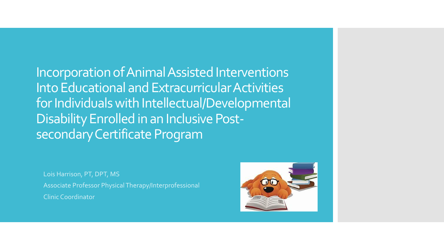Incorporation of Animal Assisted Interventions Into Educational and Extracurricular Activities for Individuals with Intellectual/Developmental Disability Enrolled in an Inclusive Postsecondary Certificate Program

Lois Harrison, PT, DPT, MS Associate Professor Physical Therapy/Interprofessional Clinic Coordinator

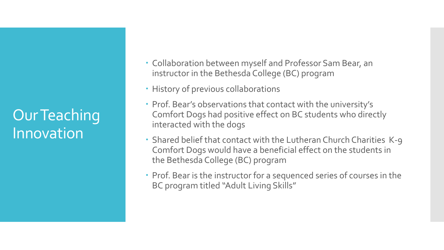#### Our Teaching Innovation

- Collaboration between myself and Professor Sam Bear, an instructor in the Bethesda College (BC) program
- History of previous collaborations
- Prof. Bear's observations that contact with the university's Comfort Dogs had positive effect on BC students who directly interacted with the dogs
- Shared belief that contact with the Lutheran Church Charities K-9 Comfort Dogs would have a beneficial effect on the students in the Bethesda College (BC) program
- Prof. Bear is the instructor for a sequenced series of courses in the BC program titled "Adult Living Skills"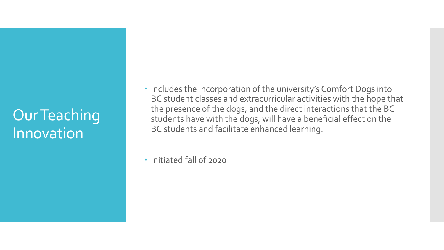#### Our Teaching Innovation

• Includes the incorporation of the university's Comfort Dogs into BC student classes and extracurricular activities with the hope that the presence of the dogs, and the direct interactions that the BC students have with the dogs, will have a beneficial effect on the BC students and facilitate enhanced learning.

Initiated fall of 2020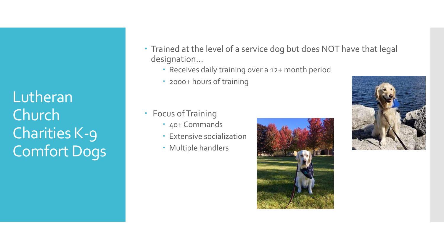Lutheran Church Charities K-9 Comfort Dogs

- Trained at the level of a service dog but does NOT have that legal designation…
	- Receives daily training over a 12+ month period
	- 2000+ hours of training
- Focus of Training
	- 40+ Commands
	- Extensive socialization
	- Multiple handlers



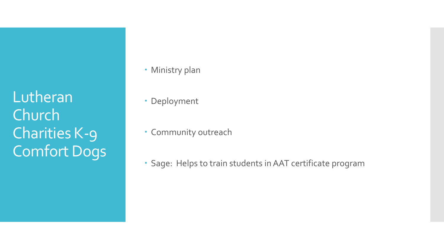Lutheran Church Charities K-9 Comfort Dogs

- Ministry plan
- Deployment
- Community outreach
- Sage: Helps to train students in AAT certificate program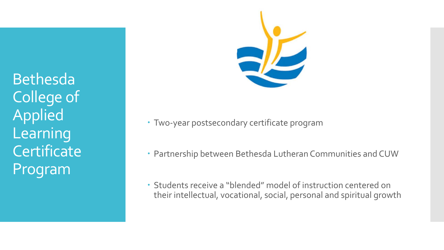Bethesda College of Applied Learning **Certificate** Program



- Two-year postsecondary certificate program
- Partnership between Bethesda Lutheran Communities and CUW
- Students receive a "blended" model of instruction centered on their intellectual, vocational, social, personal and spiritual growth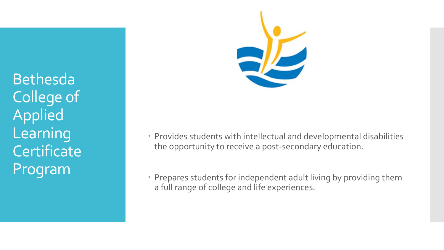Bethesda College of Applied Learning **Certificate** Program



- Provides students with intellectual and developmental disabilities the opportunity to receive a post-secondary education.
- Prepares students for independent adult living by providing them a full range of college and life experiences.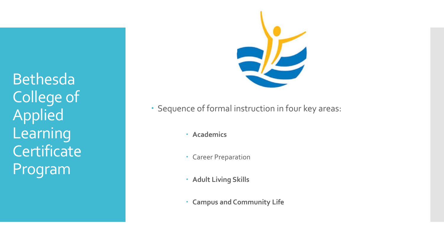Bethesda College of Applied Learning **Certificate** Program



- Sequence of formal instruction in four key areas:
	- **Academics**
	- Career Preparation
	- **Adult Living Skills**
	- **Campus and Community Life**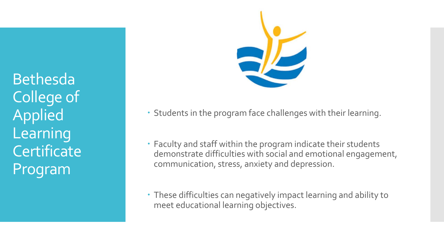Bethesda College of Applied Learning **Certificate** Program



- Students in the program face challenges with their learning.
- Faculty and staff within the program indicate their students demonstrate difficulties with social and emotional engagement, communication, stress, anxiety and depression.
- These difficulties can negatively impact learning and ability to meet educational learning objectives.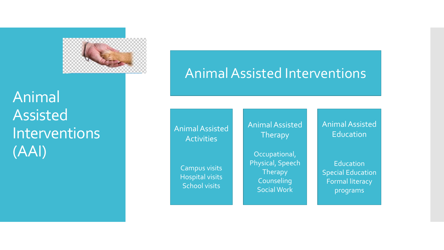

Animal Assisted Interventions (AAI)

#### Animal Assisted Interventions

Animal Assisted **Activities** 

> Campus visits Hospital visits School visit s

Animal Assisted Therapy

Occupational, Physical, Speech **Therapy** Counseling Social Work

Animal Assisted Education

Education Special Education Formal literacy program s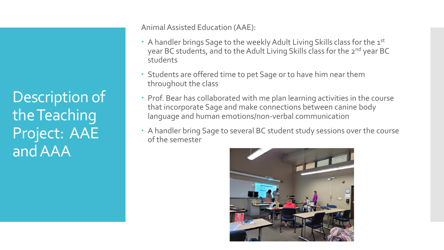Description of the Teaching Project: AAE and AAA

Animal Assisted Education (AAE):

- A handler brings Sage to the weekly Adult Living Skills class for the  $1^{st}$ year BC students, and to the Adult Living Skills class for the 2<sup>nd</sup> year BC students
- Students are offered time to pet Sage or to have him near them throughout the class
- Prof. Bear has collaborated with me plan learning activities in the course that incorporate Sage and make connections between canine body language and human emotions/non-verbal communication
- A handler bring Sage to several BC student study sessions over the course of the semester

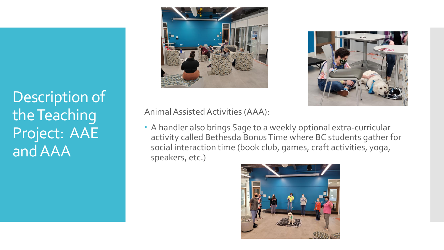## Description of the Teaching Project: AAE and AAA





Animal Assisted Activities (AAA):

 A handler also brings Sage to a weekly optional extra-curricular activity called Bethesda Bonus Time where BC students gather for social interaction time (book club, games, craft activities, yoga, speakers, etc.)

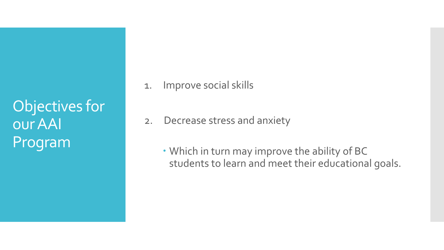Objectives for our AAI Program

- 1. Improve social skills
- 2. Decrease stress and anxiety
	- Which in turn may improve the ability of BC students to learn and meet their educational goals.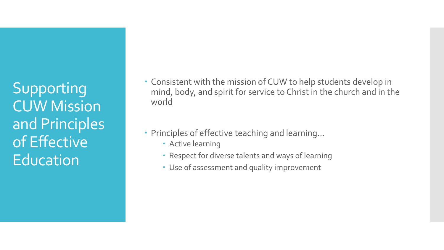Supporting CUW Mission and Principles of Effective Education

- Consistent with the mission of CUW to help students develop in mind, body, and spirit for service to Christ in the church and in the world
- Principles of effective teaching and learning…
	- Active learning
	- Respect for diverse talents and ways of learning
	- Use of assessment and quality improvement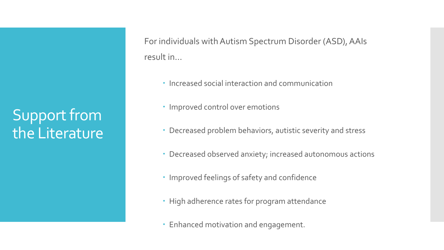## Support from the Literature

For individuals with Autism Spectrum Disorder (ASD), AAIs result in…

- Increased social interaction and communication
- Improved control over emotions
- Decreased problem behaviors, autistic severity and stress
- Decreased observed anxiety; increased autonomous actions
- Improved feelings of safety and confidence
- High adherence rates for program attendance
- Enhanced motivation and engagement.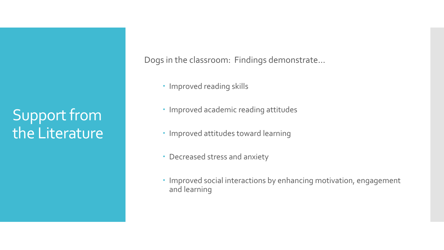## Support from the Literature

Dogs in the classroom: Findings demonstrate…

- Improved reading skills
- Improved academic reading attitudes
- Improved attitudes toward learning
- Decreased stress and anxiety
- Improved social interactions by enhancing motivation, engagement and learning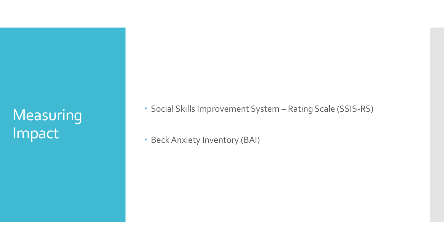#### Measuring Impact

Social Skills Improvement System – Rating Scale (SSIS -RS)

• Beck Anxiety Inventory (BAI)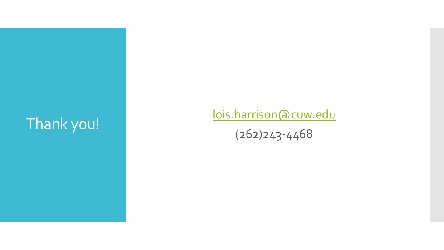# Thank you! [lois.harrison@cuw.edu](mailto:lois.harrison@cuw.edu)

(262)243 -446 8